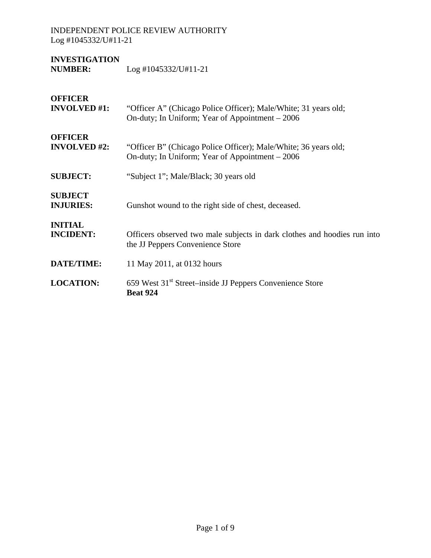| <b>INVESTIGATION</b> |                        |
|----------------------|------------------------|
| <b>NUMBER:</b>       | $Log$ #1045332/U#11-21 |

| <b>OFFICER</b><br><b>INVOLVED #1:</b> | "Officer A" (Chicago Police Officer); Male/White; 31 years old;<br>On-duty; In Uniform; Year of Appointment - 2006 |
|---------------------------------------|--------------------------------------------------------------------------------------------------------------------|
| <b>OFFICER</b><br><b>INVOLVED #2:</b> | "Officer B" (Chicago Police Officer); Male/White; 36 years old;<br>On-duty; In Uniform; Year of Appointment – 2006 |
| <b>SUBJECT:</b>                       | "Subject 1"; Male/Black; 30 years old                                                                              |
| <b>SUBJECT</b><br><b>INJURIES:</b>    | Gunshot wound to the right side of chest, deceased.                                                                |
| <b>INITIAL</b><br><b>INCIDENT:</b>    | Officers observed two male subjects in dark clothes and hoodies run into<br>the JJ Peppers Convenience Store       |
| <b>DATE/TIME:</b>                     | 11 May 2011, at 0132 hours                                                                                         |
| <b>LOCATION:</b>                      | 659 West 31 <sup>st</sup> Street–inside JJ Peppers Convenience Store<br><b>Beat 924</b>                            |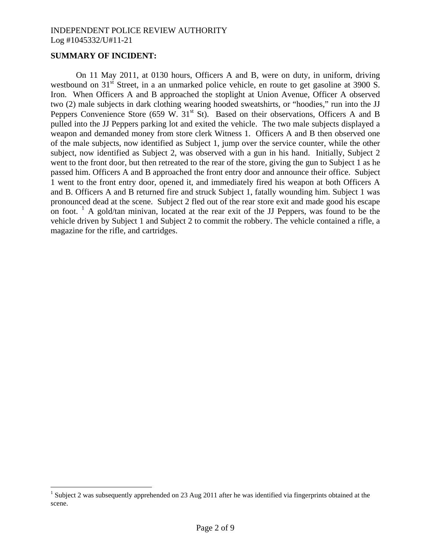#### **SUMMARY OF INCIDENT:**

1

On 11 May 2011, at 0130 hours, Officers A and B, were on duty, in uniform, driving westbound on 31<sup>st</sup> Street, in a an unmarked police vehicle, en route to get gasoline at 3900 S. Iron. When Officers A and B approached the stoplight at Union Avenue, Officer A observed two (2) male subjects in dark clothing wearing hooded sweatshirts, or "hoodies," run into the JJ Peppers Convenience Store (659 W.  $31<sup>st</sup>$  St). Based on their observations, Officers A and B pulled into the JJ Peppers parking lot and exited the vehicle. The two male subjects displayed a weapon and demanded money from store clerk Witness 1. Officers A and B then observed one of the male subjects, now identified as Subject 1, jump over the service counter, while the other subject, now identified as Subject 2, was observed with a gun in his hand. Initially, Subject 2 went to the front door, but then retreated to the rear of the store, giving the gun to Subject 1 as he passed him. Officers A and B approached the front entry door and announce their office. Subject 1 went to the front entry door, opened it, and immediately fired his weapon at both Officers A and B. Officers A and B returned fire and struck Subject 1, fatally wounding him. Subject 1 was pronounced dead at the scene. Subject 2 fled out of the rear store exit and made good his escape on foot. <sup>[1](#page-1-0)</sup> A gold/tan minivan, located at the rear exit of the JJ Peppers, was found to be the vehicle driven by Subject 1 and Subject 2 to commit the robbery. The vehicle contained a rifle, a magazine for the rifle, and cartridges.

<span id="page-1-0"></span><sup>&</sup>lt;sup>1</sup> Subject 2 was subsequently apprehended on 23 Aug 2011 after he was identified via fingerprints obtained at the scene.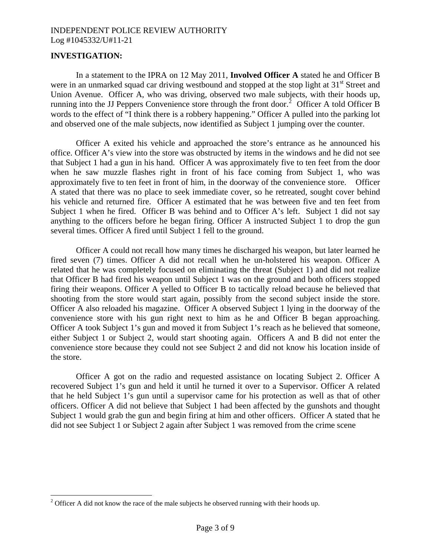## **INVESTIGATION:**

 $\overline{a}$ 

In a statement to the IPRA on 12 May 2011, **Involved Officer A** stated he and Officer B were in an unmarked squad car driving westbound and stopped at the stop light at 31<sup>st</sup> Street and Union Avenue. Officer A, who was driving, observed two male subjects, with their hoods up, running into the JJ Peppers Convenience store through the front door.<sup>[2](#page-2-0)</sup> Officer A told Officer B words to the effect of "I think there is a robbery happening." Officer A pulled into the parking lot and observed one of the male subjects, now identified as Subject 1 jumping over the counter.

Officer A exited his vehicle and approached the store's entrance as he announced his office. Officer A's view into the store was obstructed by items in the windows and he did not see that Subject 1 had a gun in his hand. Officer A was approximately five to ten feet from the door when he saw muzzle flashes right in front of his face coming from Subject 1, who was approximately five to ten feet in front of him, in the doorway of the convenience store. Officer A stated that there was no place to seek immediate cover, so he retreated, sought cover behind his vehicle and returned fire. Officer A estimated that he was between five and ten feet from Subject 1 when he fired. Officer B was behind and to Officer A's left. Subject 1 did not say anything to the officers before he began firing. Officer A instructed Subject 1 to drop the gun several times. Officer A fired until Subject 1 fell to the ground.

Officer A could not recall how many times he discharged his weapon, but later learned he fired seven (7) times. Officer A did not recall when he un-holstered his weapon. Officer A related that he was completely focused on eliminating the threat (Subject 1) and did not realize that Officer B had fired his weapon until Subject 1 was on the ground and both officers stopped firing their weapons. Officer A yelled to Officer B to tactically reload because he believed that shooting from the store would start again, possibly from the second subject inside the store. Officer A also reloaded his magazine. Officer A observed Subject 1 lying in the doorway of the convenience store with his gun right next to him as he and Officer B began approaching. Officer A took Subject 1's gun and moved it from Subject 1's reach as he believed that someone, either Subject 1 or Subject 2, would start shooting again. Officers A and B did not enter the convenience store because they could not see Subject 2 and did not know his location inside of the store.

Officer A got on the radio and requested assistance on locating Subject 2. Officer A recovered Subject 1's gun and held it until he turned it over to a Supervisor. Officer A related that he held Subject 1's gun until a supervisor came for his protection as well as that of other officers. Officer A did not believe that Subject 1 had been affected by the gunshots and thought Subject 1 would grab the gun and begin firing at him and other officers. Officer A stated that he did not see Subject 1 or Subject 2 again after Subject 1 was removed from the crime scene

<span id="page-2-0"></span><sup>&</sup>lt;sup>2</sup> Officer A did not know the race of the male subjects he observed running with their hoods up.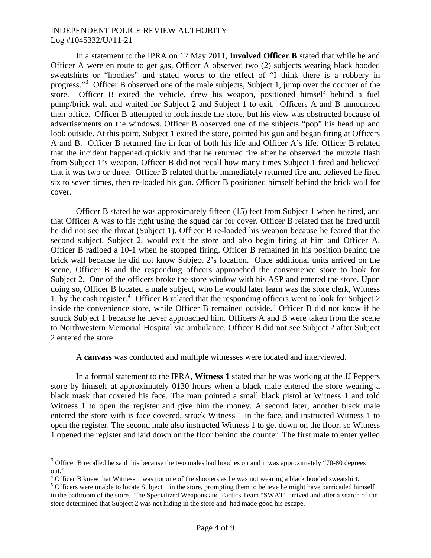In a statement to the IPRA on 12 May 2011, **Involved Officer B** stated that while he and Officer A were en route to get gas, Officer A observed two (2) subjects wearing black hooded sweatshirts or "hoodies" and stated words to the effect of "I think there is a robbery in progress."<sup>[3](#page-3-0)</sup> Officer B observed one of the male subjects, Subject 1, jump over the counter of the store. Officer B exited the vehicle, drew his weapon, positioned himself behind a fuel pump/brick wall and waited for Subject 2 and Subject 1 to exit. Officers A and B announced their office. Officer B attempted to look inside the store, but his view was obstructed because of advertisements on the windows. Officer B observed one of the subjects "pop" his head up and look outside. At this point, Subject 1 exited the store, pointed his gun and began firing at Officers A and B. Officer B returned fire in fear of both his life and Officer A's life. Officer B related that the incident happened quickly and that he returned fire after he observed the muzzle flash from Subject 1's weapon. Officer B did not recall how many times Subject 1 fired and believed that it was two or three. Officer B related that he immediately returned fire and believed he fired six to seven times, then re-loaded his gun. Officer B positioned himself behind the brick wall for cover.

Officer B stated he was approximately fifteen (15) feet from Subject 1 when he fired, and that Officer A was to his right using the squad car for cover. Officer B related that he fired until he did not see the threat (Subject 1). Officer B re-loaded his weapon because he feared that the second subject, Subject 2, would exit the store and also begin firing at him and Officer A. Officer B radioed a 10-1 when he stopped firing. Officer B remained in his position behind the brick wall because he did not know Subject 2's location. Once additional units arrived on the scene, Officer B and the responding officers approached the convenience store to look for Subject 2. One of the officers broke the store window with his ASP and entered the store. Upon doing so, Officer B located a male subject, who he would later learn was the store clerk, Witness 1, by the cash register.<sup>[4](#page-3-1)</sup> Officer B related that the responding officers went to look for Subject 2 inside the convenience store, while Officer B remained outside.<sup>[5](#page-3-2)</sup> Officer B did not know if he struck Subject 1 because he never approached him. Officers A and B were taken from the scene to Northwestern Memorial Hospital via ambulance. Officer B did not see Subject 2 after Subject 2 entered the store.

A **canvass** was conducted and multiple witnesses were located and interviewed.

In a formal statement to the IPRA, **Witness 1** stated that he was working at the JJ Peppers store by himself at approximately 0130 hours when a black male entered the store wearing a black mask that covered his face. The man pointed a small black pistol at Witness 1 and told Witness 1 to open the register and give him the money. A second later, another black male entered the store with is face covered, struck Witness 1 in the face, and instructed Witness 1 to open the register. The second male also instructed Witness 1 to get down on the floor, so Witness 1 opened the register and laid down on the floor behind the counter. The first male to enter yelled

 $\overline{a}$ 

<span id="page-3-0"></span><sup>&</sup>lt;sup>3</sup> Officer B recalled he said this because the two males had hoodies on and it was approximately "70-80 degrees out."

<span id="page-3-1"></span> $^{4}$  Officer B knew that Witness 1 was not one of the shooters as he was not wearing a black hooded sweatshirt.

<span id="page-3-2"></span><sup>&</sup>lt;sup>5</sup> Officers were unable to locate Subject 1 in the store, prompting them to believe he might have barricaded himself in the bathroom of the store. The Specialized Weapons and Tactics Team "SWAT" arrived and after a search of the store determined that Subject 2 was not hiding in the store and had made good his escape.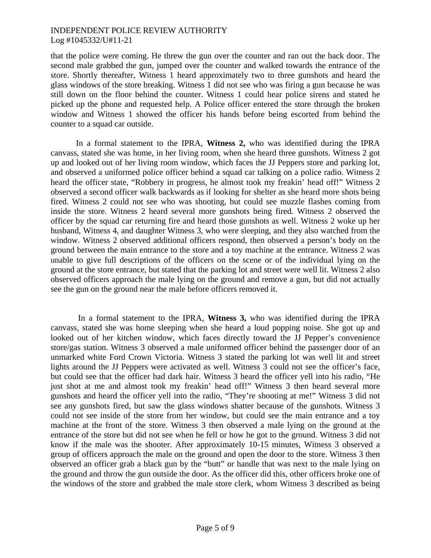that the police were coming. He threw the gun over the counter and ran out the back door. The second male grabbed the gun, jumped over the counter and walked towards the entrance of the store. Shortly thereafter, Witness 1 heard approximately two to three gunshots and heard the glass windows of the store breaking. Witness 1 did not see who was firing a gun because he was still down on the floor behind the counter. Witness 1 could hear police sirens and stated he picked up the phone and requested help. A Police officer entered the store through the broken window and Witness 1 showed the officer his hands before being escorted from behind the counter to a squad car outside.

In a formal statement to the IPRA, **Witness 2,** who was identified during the IPRA canvass, stated she was home, in her living room, when she heard three gunshots. Witness 2 got up and looked out of her living room window, which faces the JJ Peppers store and parking lot, and observed a uniformed police officer behind a squad car talking on a police radio. Witness 2 heard the officer state, "Robbery in progress, he almost took my freakin' head off!" Witness 2 observed a second officer walk backwards as if looking for shelter as she heard more shots being fired. Witness 2 could not see who was shooting, but could see muzzle flashes coming from inside the store. Witness 2 heard several more gunshots being fired. Witness 2 observed the officer by the squad car returning fire and heard those gunshots as well. Witness 2 woke up her husband, Witness 4, and daughter Witness 3, who were sleeping, and they also watched from the window. Witness 2 observed additional officers respond, then observed a person's body on the ground between the main entrance to the store and a toy machine at the entrance. Witness 2 was unable to give full descriptions of the officers on the scene or of the individual lying on the ground at the store entrance, but stated that the parking lot and street were well lit. Witness 2 also observed officers approach the male lying on the ground and remove a gun, but did not actually see the gun on the ground near the male before officers removed it.

 In a formal statement to the IPRA, **Witness 3,** who was identified during the IPRA canvass, stated she was home sleeping when she heard a loud popping noise. She got up and looked out of her kitchen window, which faces directly toward the JJ Pepper's convenience store/gas station. Witness 3 observed a male uniformed officer behind the passenger door of an unmarked white Ford Crown Victoria. Witness 3 stated the parking lot was well lit and street lights around the JJ Peppers were activated as well. Witness 3 could not see the officer's face, but could see that the officer had dark hair. Witness 3 heard the officer yell into his radio, "He just shot at me and almost took my freakin' head off!" Witness 3 then heard several more gunshots and heard the officer yell into the radio, "They're shooting at me!" Witness 3 did not see any gunshots fired, but saw the glass windows shatter because of the gunshots. Witness 3 could not see inside of the store from her window, but could see the main entrance and a toy machine at the front of the store. Witness 3 then observed a male lying on the ground at the entrance of the store but did not see when he fell or how he got to the ground. Witness 3 did not know if the male was the shooter. After approximately 10-15 minutes, Witness 3 observed a group of officers approach the male on the ground and open the door to the store. Witness 3 then observed an officer grab a black gun by the "butt" or handle that was next to the male lying on the ground and throw the gun outside the door. As the officer did this, other officers broke one of the windows of the store and grabbed the male store clerk, whom Witness 3 described as being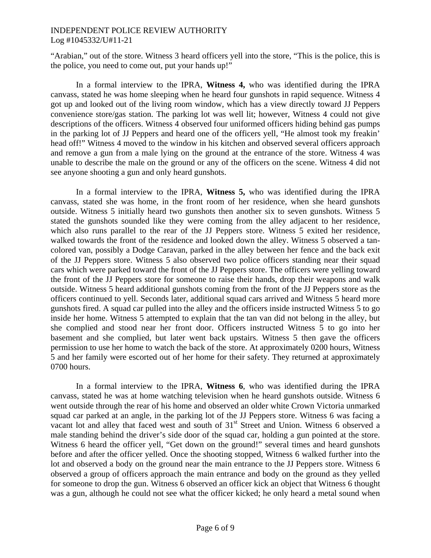"Arabian," out of the store. Witness 3 heard officers yell into the store, "This is the police, this is the police, you need to come out, put your hands up!"

In a formal interview to the IPRA, **Witness 4,** who was identified during the IPRA canvass, stated he was home sleeping when he heard four gunshots in rapid sequence. Witness 4 got up and looked out of the living room window, which has a view directly toward JJ Peppers convenience store/gas station. The parking lot was well lit; however, Witness 4 could not give descriptions of the officers. Witness 4 observed four uniformed officers hiding behind gas pumps in the parking lot of JJ Peppers and heard one of the officers yell, "He almost took my freakin' head off!" Witness 4 moved to the window in his kitchen and observed several officers approach and remove a gun from a male lying on the ground at the entrance of the store. Witness 4 was unable to describe the male on the ground or any of the officers on the scene. Witness 4 did not see anyone shooting a gun and only heard gunshots.

In a formal interview to the IPRA, **Witness 5,** who was identified during the IPRA canvass, stated she was home, in the front room of her residence, when she heard gunshots outside. Witness 5 initially heard two gunshots then another six to seven gunshots. Witness 5 stated the gunshots sounded like they were coming from the alley adjacent to her residence, which also runs parallel to the rear of the JJ Peppers store. Witness 5 exited her residence, walked towards the front of the residence and looked down the alley. Witness 5 observed a tancolored van, possibly a Dodge Caravan, parked in the alley between her fence and the back exit of the JJ Peppers store. Witness 5 also observed two police officers standing near their squad cars which were parked toward the front of the JJ Peppers store. The officers were yelling toward the front of the JJ Peppers store for someone to raise their hands, drop their weapons and walk outside. Witness 5 heard additional gunshots coming from the front of the JJ Peppers store as the officers continued to yell. Seconds later, additional squad cars arrived and Witness 5 heard more gunshots fired. A squad car pulled into the alley and the officers inside instructed Witness 5 to go inside her home. Witness 5 attempted to explain that the tan van did not belong in the alley, but she complied and stood near her front door. Officers instructed Witness 5 to go into her basement and she complied, but later went back upstairs. Witness 5 then gave the officers permission to use her home to watch the back of the store. At approximately 0200 hours, Witness 5 and her family were escorted out of her home for their safety. They returned at approximately 0700 hours.

In a formal interview to the IPRA, **Witness 6**, who was identified during the IPRA canvass, stated he was at home watching television when he heard gunshots outside. Witness 6 went outside through the rear of his home and observed an older white Crown Victoria unmarked squad car parked at an angle, in the parking lot of the JJ Peppers store. Witness 6 was facing a vacant lot and alley that faced west and south of 31<sup>st</sup> Street and Union. Witness 6 observed a male standing behind the driver's side door of the squad car, holding a gun pointed at the store. Witness 6 heard the officer yell, "Get down on the ground!" several times and heard gunshots before and after the officer yelled. Once the shooting stopped, Witness 6 walked further into the lot and observed a body on the ground near the main entrance to the JJ Peppers store. Witness 6 observed a group of officers approach the main entrance and body on the ground as they yelled for someone to drop the gun. Witness 6 observed an officer kick an object that Witness 6 thought was a gun, although he could not see what the officer kicked; he only heard a metal sound when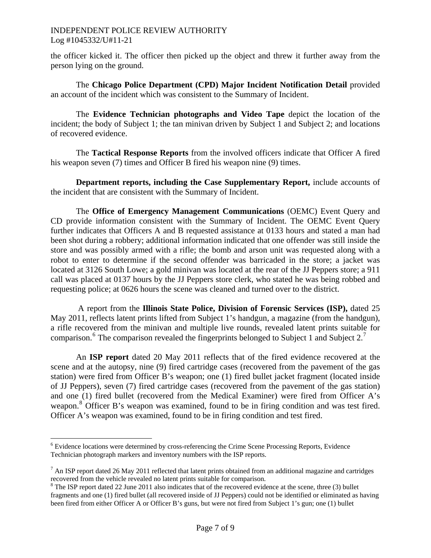the officer kicked it. The officer then picked up the object and threw it further away from the person lying on the ground.

The **Chicago Police Department (CPD) Major Incident Notification Detail** provided an account of the incident which was consistent to the Summary of Incident.

 The **Evidence Technician photographs and Video Tape** depict the location of the incident; the body of Subject 1; the tan minivan driven by Subject 1 and Subject 2; and locations of recovered evidence.

 The **Tactical Response Reports** from the involved officers indicate that Officer A fired his weapon seven (7) times and Officer B fired his weapon nine (9) times.

**Department reports, including the Case Supplementary Report,** include accounts of the incident that are consistent with the Summary of Incident.

 The **Office of Emergency Management Communications** (OEMC) Event Query and CD provide information consistent with the Summary of Incident. The OEMC Event Query further indicates that Officers A and B requested assistance at 0133 hours and stated a man had been shot during a robbery; additional information indicated that one offender was still inside the store and was possibly armed with a rifle; the bomb and arson unit was requested along with a robot to enter to determine if the second offender was barricaded in the store; a jacket was located at 3126 South Lowe; a gold minivan was located at the rear of the JJ Peppers store; a 911 call was placed at 0137 hours by the JJ Peppers store clerk, who stated he was being robbed and requesting police; at 0626 hours the scene was cleaned and turned over to the district.

 A report from the **Illinois State Police, Division of Forensic Services (ISP),** dated 25 May 2011, reflects latent prints lifted from Subject 1's handgun, a magazine (from the handgun), a rifle recovered from the minivan and multiple live rounds, revealed latent prints suitable for comparison.<sup>[6](#page-6-0)</sup> The comparison revealed the fingerprints belonged to Subject 1 and Subject 2.<sup>[7](#page-6-1)</sup>

 An **ISP report** dated 20 May 2011 reflects that of the fired evidence recovered at the scene and at the autopsy, nine (9) fired cartridge cases (recovered from the pavement of the gas station) were fired from Officer B's weapon; one (1) fired bullet jacket fragment (located inside of JJ Peppers), seven (7) fired cartridge cases (recovered from the pavement of the gas station) and one (1) fired bullet (recovered from the Medical Examiner) were fired from Officer A's weapon.<sup>[8](#page-6-2)</sup> Officer B's weapon was examined, found to be in firing condition and was test fired. Officer A's weapon was examined, found to be in firing condition and test fired.

 $\overline{a}$ 

<span id="page-6-0"></span><sup>&</sup>lt;sup>6</sup> Evidence locations were determined by cross-referencing the Crime Scene Processing Reports, Evidence Technician photograph markers and inventory numbers with the ISP reports.

<span id="page-6-1"></span> $<sup>7</sup>$  An ISP report dated 26 May 2011 reflected that latent prints obtained from an additional magazine and cartridges</sup> recovered from the vehicle revealed no latent prints suitable for comparison.

<span id="page-6-2"></span><sup>&</sup>lt;sup>8</sup> The ISP report dated 22 June 2011 also indicates that of the recovered evidence at the scene, three (3) bullet fragments and one (1) fired bullet (all recovered inside of JJ Peppers) could not be identified or eliminated as having been fired from either Officer A or Officer B's guns, but were not fired from Subject 1's gun; one (1) bullet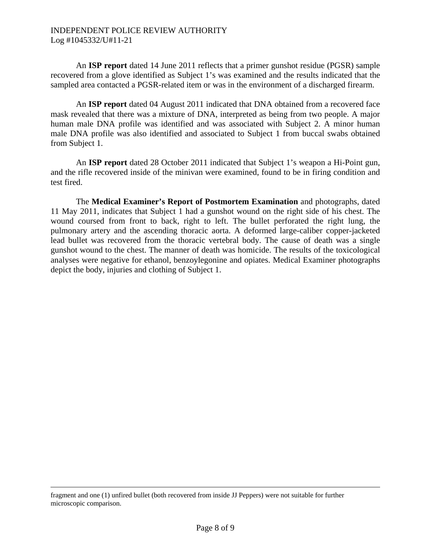An **ISP report** dated 14 June 2011 reflects that a primer gunshot residue (PGSR) sample recovered from a glove identified as Subject 1's was examined and the results indicated that the sampled area contacted a PGSR-related item or was in the environment of a discharged firearm.

 An **ISP report** dated 04 August 2011 indicated that DNA obtained from a recovered face mask revealed that there was a mixture of DNA, interpreted as being from two people. A major human male DNA profile was identified and was associated with Subject 2. A minor human male DNA profile was also identified and associated to Subject 1 from buccal swabs obtained from Subject 1.

An **ISP report** dated 28 October 2011 indicated that Subject 1's weapon a Hi-Point gun, and the rifle recovered inside of the minivan were examined, found to be in firing condition and test fired.

The **Medical Examiner's Report of Postmortem Examination** and photographs, dated 11 May 2011, indicates that Subject 1 had a gunshot wound on the right side of his chest. The wound coursed from front to back, right to left. The bullet perforated the right lung, the pulmonary artery and the ascending thoracic aorta. A deformed large-caliber copper-jacketed lead bullet was recovered from the thoracic vertebral body. The cause of death was a single gunshot wound to the chest. The manner of death was homicide. The results of the toxicological analyses were negative for ethanol, benzoylegonine and opiates. Medical Examiner photographs depict the body, injuries and clothing of Subject 1.

fragment and one (1) unfired bullet (both recovered from inside JJ Peppers) were not suitable for further microscopic comparison.